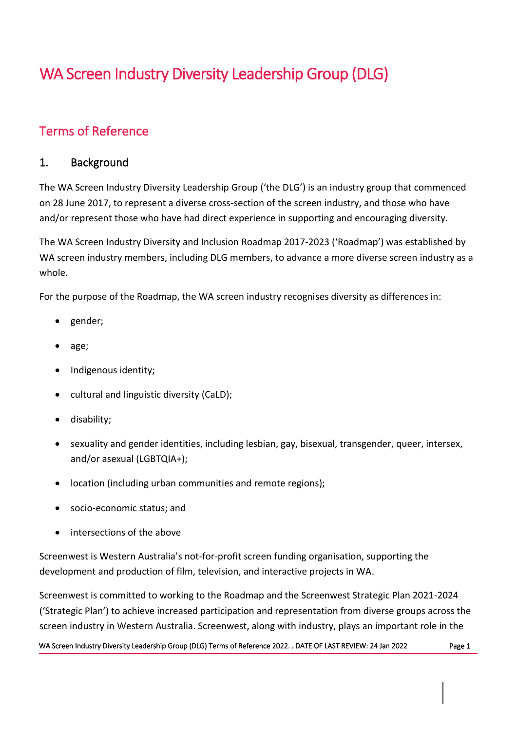# WA Screen Industry Diversity Leadership Group (DLG)

## Terms of Reference

#### 1. Background

The WA Screen Industry Diversity Leadership Group ('the DLG') is an industry group that commenced on 28 June 2017, to represent a diverse cross-section of the screen industry, and those who have and/or represent those who have had direct experience in supporting and encouraging diversity.

The WA Screen Industry Diversity and Inclusion Roadmap 2017-2023 ('Roadmap') was established by WA screen industry members, including DLG members, to advance a more diverse screen industry as a whole.

For the purpose of the Roadmap, the WA screen industry recognises diversity as differences in:

- gender;
- age;
- Indigenous identity;
- cultural and linguistic diversity (CaLD);
- disability;
- sexuality and gender identities, including lesbian, gay, bisexual, transgender, queer, intersex, and/or asexual (LGBTQIA+);
- location (including urban communities and remote regions);
- socio-economic status; and
- intersections of the above

Screenwest is Western Australia's not-for-profit screen funding organisation, supporting the development and production of film, television, and interactive projects in WA.

Screenwest is committed to working to the Roadmap and the Screenwest Strategic Plan 2021-2024 ('Strategic Plan') to achieve increased participation and representation from diverse groups across the screen industry in Western Australia. Screenwest, along with industry, plays an important role in the

WA Screen Industry Diversity Leadership Group (DLG) Terms of Reference 2022. . DATE OF LAST REVIEW: 24 Jan 2022 Page 1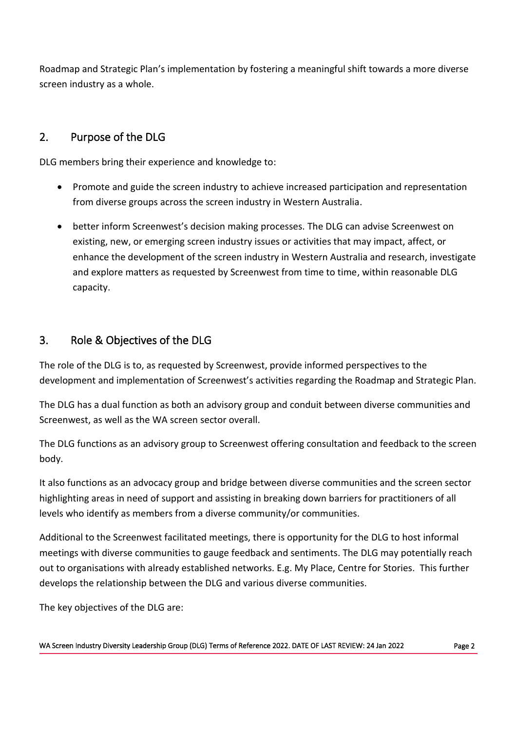Roadmap and Strategic Plan's implementation by fostering a meaningful shift towards a more diverse screen industry as a whole.

### 2. Purpose of the DLG

DLG members bring their experience and knowledge to:

- Promote and guide the screen industry to achieve increased participation and representation from diverse groups across the screen industry in Western Australia.
- better inform Screenwest's decision making processes. The DLG can advise Screenwest on existing, new, or emerging screen industry issues or activities that may impact, affect, or enhance the development of the screen industry in Western Australia and research, investigate and explore matters as requested by Screenwest from time to time, within reasonable DLG capacity.

#### 3. Role & Objectives of the DLG

The role of the DLG is to, as requested by Screenwest, provide informed perspectives to the development and implementation of Screenwest's activities regarding the Roadmap and Strategic Plan.

The DLG has a dual function as both an advisory group and conduit between diverse communities and Screenwest, as well as the WA screen sector overall.

The DLG functions as an advisory group to Screenwest offering consultation and feedback to the screen body.

It also functions as an advocacy group and bridge between diverse communities and the screen sector highlighting areas in need of support and assisting in breaking down barriers for practitioners of all levels who identify as members from a diverse community/or communities.

Additional to the Screenwest facilitated meetings, there is opportunity for the DLG to host informal meetings with diverse communities to gauge feedback and sentiments. The DLG may potentially reach out to organisations with already established networks. E.g. My Place, Centre for Stories. This further develops the relationship between the DLG and various diverse communities.

The key objectives of the DLG are: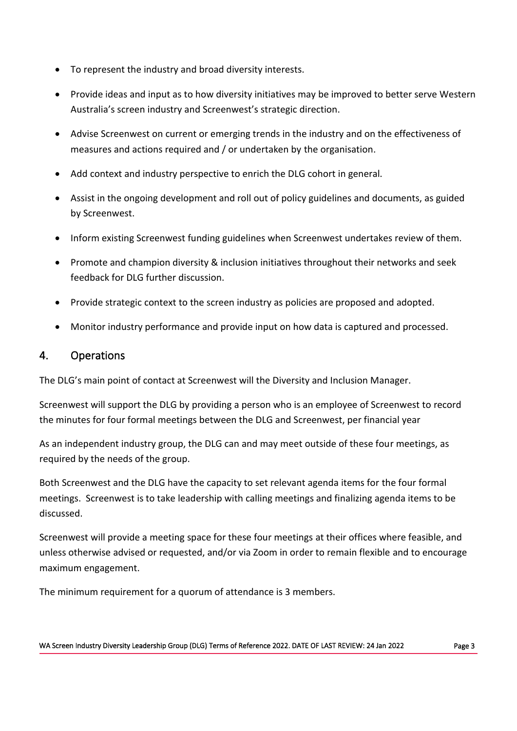- To represent the industry and broad diversity interests.
- Provide ideas and input as to how diversity initiatives may be improved to better serve Western Australia's screen industry and Screenwest's strategic direction.
- Advise Screenwest on current or emerging trends in the industry and on the effectiveness of measures and actions required and / or undertaken by the organisation.
- Add context and industry perspective to enrich the DLG cohort in general.
- Assist in the ongoing development and roll out of policy guidelines and documents, as guided by Screenwest.
- Inform existing Screenwest funding guidelines when Screenwest undertakes review of them.
- Promote and champion diversity & inclusion initiatives throughout their networks and seek feedback for DLG further discussion.
- Provide strategic context to the screen industry as policies are proposed and adopted.
- Monitor industry performance and provide input on how data is captured and processed.

#### 4. Operations

The DLG's main point of contact at Screenwest will the Diversity and Inclusion Manager.

Screenwest will support the DLG by providing a person who is an employee of Screenwest to record the minutes for four formal meetings between the DLG and Screenwest, per financial year

As an independent industry group, the DLG can and may meet outside of these four meetings, as required by the needs of the group.

Both Screenwest and the DLG have the capacity to set relevant agenda items for the four formal meetings. Screenwest is to take leadership with calling meetings and finalizing agenda items to be discussed.

Screenwest will provide a meeting space for these four meetings at their offices where feasible, and unless otherwise advised or requested, and/or via Zoom in order to remain flexible and to encourage maximum engagement.

The minimum requirement for a quorum of attendance is 3 members.

WA Screen Industry Diversity Leadership Group (DLG) Terms of Reference 2022. DATE OF LAST REVIEW: 24 Jan 2022 Page 3